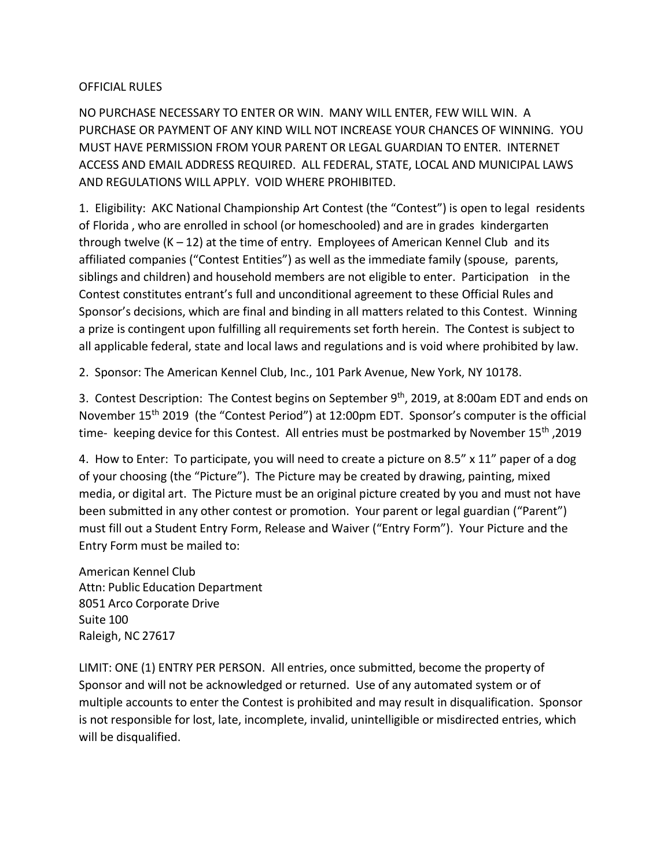## OFFICIAL RULES

NO PURCHASE NECESSARY TO ENTER OR WIN. MANY WILL ENTER, FEW WILL WIN. A PURCHASE OR PAYMENT OF ANY KIND WILL NOT INCREASE YOUR CHANCES OF WINNING. YOU MUST HAVE PERMISSION FROM YOUR PARENT OR LEGAL GUARDIAN TO ENTER. INTERNET ACCESS AND EMAIL ADDRESS REQUIRED. ALL FEDERAL, STATE, LOCAL AND MUNICIPAL LAWS AND REGULATIONS WILL APPLY. VOID WHERE PROHIBITED.

1. Eligibility: AKC National Championship Art Contest (the "Contest") is open to legal residents of Florida , who are enrolled in school (or homeschooled) and are in grades kindergarten through twelve  $(K - 12)$  at the time of entry. Employees of American Kennel Club and its affiliated companies ("Contest Entities") as well as the immediate family (spouse, parents, siblings and children) and household members are not eligible to enter. Participation in the Contest constitutes entrant's full and unconditional agreement to these Official Rules and Sponsor's decisions, which are final and binding in all matters related to this Contest. Winning a prize is contingent upon fulfilling all requirements set forth herein. The Contest is subject to all applicable federal, state and local laws and regulations and is void where prohibited by law.

2. Sponsor: The American Kennel Club, Inc., 101 Park Avenue, New York, NY 10178.

3. Contest Description: The Contest begins on September 9<sup>th</sup>, 2019, at 8:00am EDT and ends on November 15th 2019 (the "Contest Period") at 12:00pm EDT. Sponsor's computer is the official time- keeping device for this Contest. All entries must be postmarked by November 15<sup>th</sup>, 2019

4. How to Enter: To participate, you will need to create a picture on 8.5" x 11" paper of a dog of your choosing (the "Picture"). The Picture may be created by drawing, painting, mixed media, or digital art. The Picture must be an original picture created by you and must not have been submitted in any other contest or promotion. Your parent or legal guardian ("Parent") must fill out a Student Entry Form, Release and Waiver ("Entry Form"). Your Picture and the Entry Form must be mailed to:

American Kennel Club Attn: Public Education Department 8051 Arco Corporate Drive Suite 100 Raleigh, NC 27617

LIMIT: ONE (1) ENTRY PER PERSON. All entries, once submitted, become the property of Sponsor and will not be acknowledged or returned. Use of any automated system or of multiple accounts to enter the Contest is prohibited and may result in disqualification. Sponsor is not responsible for lost, late, incomplete, invalid, unintelligible or misdirected entries, which will be disqualified.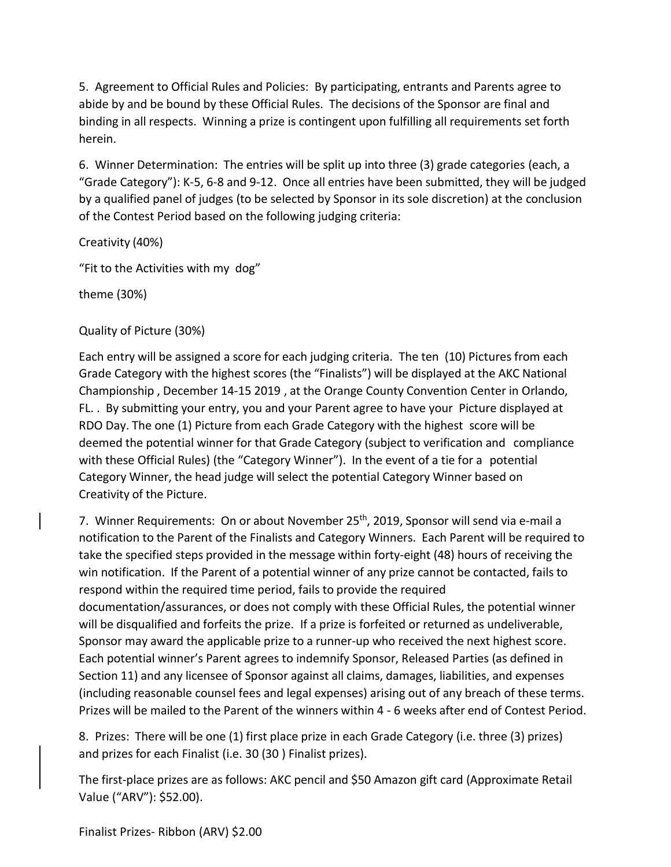5. Agreement to Official Rules and Policies: By participating, entrants and Parents agree to abide by and be bound by these Official Rules. The decisions of the Sponsor are final and binding in all respects. Winning a prize is contingent upon fulfilling all requirements set forth herein.

6. Winner Determination: The entries will be split up into three (3) grade categories (each, a "Grade Category"): K-5, 6-8 and 9-12. Once all entries have been submitted, they will be judged by a qualified panel of judges (to be selected by Sponsor in its sole discretion) at the conclusion of the Contest Period based on the following judging criteria:

Creativity (40%)

"Fit to the Activities with my dog"

theme (30%)

Quality of Picture (30%)

Each entry will be assigned a score for each judging criteria. The ten (10) Pictures from each Grade Category with the highest scores (the "Finalists") will be displayed at the AKC National Championship , December 14-15 2019 , at the Orange County Convention Center in Orlando, FL. . By submitting your entry, you and your Parent agree to have your Picture displayed at RDO Day. The one (1) Picture from each Grade Category with the highest score will be deemed the potential winner for that Grade Category (subject to verification and compliance with these Official Rules) (the "Category Winner"). In the event of a tie for a potential Category Winner, the head judge will select the potential Category Winner based on Creativity of the Picture.

7. Winner Requirements: On or about November 25<sup>th</sup>, 2019, Sponsor will send via e-mail a notification to the Parent of the Finalists and Category Winners. Each Parent will be required to take the specified steps provided in the message within forty-eight (48) hours of receiving the win notification. If the Parent of a potential winner of any prize cannot be contacted, fails to respond within the required time period, fails to provide the required documentation/assurances, or does not comply with these Official Rules, the potential winner will be disqualified and forfeits the prize. If a prize is forfeited or returned as undeliverable, Sponsor may award the applicable prize to a runner-up who received the next highest score. Each potential winner's Parent agrees to indemnify Sponsor, Released Parties (as defined in Section 11) and any licensee of Sponsor against all claims, damages, liabilities, and expenses (including reasonable counsel fees and legal expenses) arising out of any breach of these terms. Prizes will be mailed to the Parent of the winners within 4 - 6 weeks after end of Contest Period.

8. Prizes: There will be one (1) first place prize in each Grade Category (i.e. three (3) prizes) and prizes for each Finalist (i.e. 30 (30 ) Finalist prizes).

The first-place prizes are as follows: AKC pencil and \$50 Amazon gift card (Approximate Retail Value ("ARV"): \$52.00).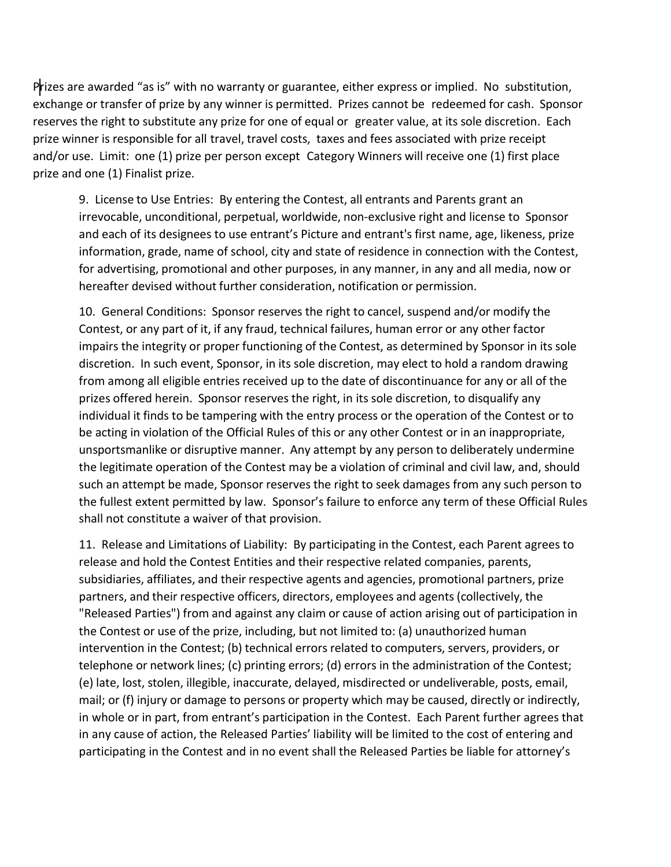Prizes are awarded "as is" with no warranty or guarantee, either express or implied. No substitution, exchange or transfer of prize by any winner is permitted. Prizes cannot be redeemed for cash. Sponsor reserves the right to substitute any prize for one of equal or greater value, at its sole discretion. Each prize winner is responsible for all travel, travel costs, taxes and fees associated with prize receipt and/or use. Limit: one (1) prize per person except Category Winners will receive one (1) first place prize and one (1) Finalist prize.

9. License to Use Entries: By entering the Contest, all entrants and Parents grant an irrevocable, unconditional, perpetual, worldwide, non-exclusive right and license to Sponsor and each of its designees to use entrant's Picture and entrant's first name, age, likeness, prize information, grade, name of school, city and state of residence in connection with the Contest, for advertising, promotional and other purposes, in any manner, in any and all media, now or hereafter devised without further consideration, notification or permission.

10. General Conditions: Sponsor reserves the right to cancel, suspend and/or modify the Contest, or any part of it, if any fraud, technical failures, human error or any other factor impairs the integrity or proper functioning of the Contest, as determined by Sponsor in its sole discretion. In such event, Sponsor, in its sole discretion, may elect to hold a random drawing from among all eligible entries received up to the date of discontinuance for any or all of the prizes offered herein. Sponsor reserves the right, in its sole discretion, to disqualify any individual it finds to be tampering with the entry process or the operation of the Contest or to be acting in violation of the Official Rules of this or any other Contest or in an inappropriate, unsportsmanlike or disruptive manner. Any attempt by any person to deliberately undermine the legitimate operation of the Contest may be a violation of criminal and civil law, and, should such an attempt be made, Sponsor reserves the right to seek damages from any such person to the fullest extent permitted by law. Sponsor's failure to enforce any term of these Official Rules shall not constitute a waiver of that provision.

11. Release and Limitations of Liability: By participating in the Contest, each Parent agrees to release and hold the Contest Entities and their respective related companies, parents, subsidiaries, affiliates, and their respective agents and agencies, promotional partners, prize partners, and their respective officers, directors, employees and agents (collectively, the "Released Parties") from and against any claim or cause of action arising out of participation in the Contest or use of the prize, including, but not limited to: (a) unauthorized human intervention in the Contest; (b) technical errors related to computers, servers, providers, or telephone or network lines; (c) printing errors; (d) errors in the administration of the Contest; (e) late, lost, stolen, illegible, inaccurate, delayed, misdirected or undeliverable, posts, email, mail; or (f) injury or damage to persons or property which may be caused, directly or indirectly, in whole or in part, from entrant's participation in the Contest. Each Parent further agrees that in any cause of action, the Released Parties' liability will be limited to the cost of entering and participating in the Contest and in no event shall the Released Parties be liable for attorney's